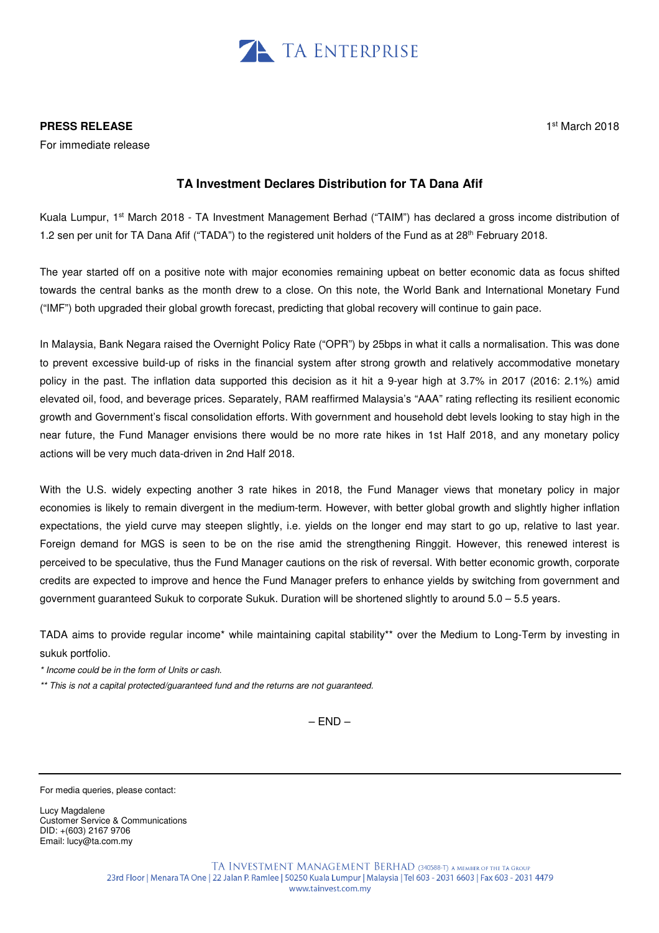

## **PRESS RELEASE**

For immediate release

## **TA Investment Declares Distribution for TA Dana Afif**

Kuala Lumpur, 1st March 2018 - TA Investment Management Berhad ("TAIM") has declared a gross income distribution of 1.2 sen per unit for TA Dana Afif ("TADA") to the registered unit holders of the Fund as at 28<sup>th</sup> February 2018.

The year started off on a positive note with major economies remaining upbeat on better economic data as focus shifted towards the central banks as the month drew to a close. On this note, the World Bank and International Monetary Fund ("IMF") both upgraded their global growth forecast, predicting that global recovery will continue to gain pace.

In Malaysia, Bank Negara raised the Overnight Policy Rate ("OPR") by 25bps in what it calls a normalisation. This was done to prevent excessive build-up of risks in the financial system after strong growth and relatively accommodative monetary policy in the past. The inflation data supported this decision as it hit a 9-year high at 3.7% in 2017 (2016: 2.1%) amid elevated oil, food, and beverage prices. Separately, RAM reaffirmed Malaysia's "AAA" rating reflecting its resilient economic growth and Government's fiscal consolidation efforts. With government and household debt levels looking to stay high in the near future, the Fund Manager envisions there would be no more rate hikes in 1st Half 2018, and any monetary policy actions will be very much data-driven in 2nd Half 2018.

With the U.S. widely expecting another 3 rate hikes in 2018, the Fund Manager views that monetary policy in major economies is likely to remain divergent in the medium-term. However, with better global growth and slightly higher inflation expectations, the yield curve may steepen slightly, i.e. yields on the longer end may start to go up, relative to last year. Foreign demand for MGS is seen to be on the rise amid the strengthening Ringgit. However, this renewed interest is perceived to be speculative, thus the Fund Manager cautions on the risk of reversal. With better economic growth, corporate credits are expected to improve and hence the Fund Manager prefers to enhance yields by switching from government and government guaranteed Sukuk to corporate Sukuk. Duration will be shortened slightly to around 5.0 – 5.5 years.

TADA aims to provide regular income\* while maintaining capital stability\*\* over the Medium to Long-Term by investing in sukuk portfolio.

\* Income could be in the form of Units or cash.

\*\* This is not a capital protected/guaranteed fund and the returns are not guaranteed.

 $-$  END  $-$ 

For media queries, please contact:

Lucy Magdalene Customer Service & Communications DID: +(603) 2167 9706 Email: lucy@ta.com.my